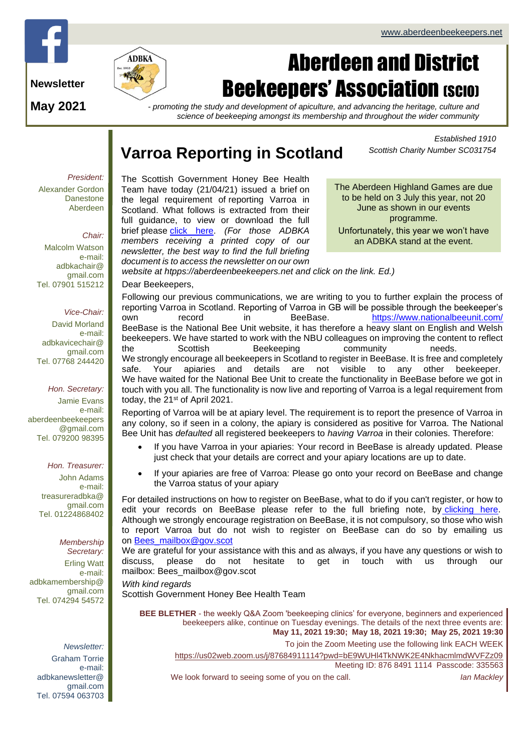



# Aberdeen and District **Beekeepers' Association (SCIO)**

**May 2021**

*- promoting the study and development of apiculture, and advancing the heritage, culture and science of beekeeping amongst its membership and throughout the wider community*

# **Varroa Reporting in Scotland**

*members receiving a printed copy of our newsletter, the best way to find the full briefing document is to access the newsletter on our own* 

*Established 1910 Scottish Charity Number SC031754*

*President:*

Alexander Gordon **Danestone** Aberdeen

### *Chair:*

Malcolm Watson e-mail: adbkachair@ gmail.com Tel. 07901 515212

### *Vice-Chair:*

David Morland e-mail: adbkavicechair@ gmail.com Tel. 07768 244420

*Hon. Secretary:* Jamie Evans e-mail: [aberdeenbeekeepers](mailto:aberdeenbeekeepers@gmail.com) [@gmail.com](mailto:aberdeenbeekeepers@gmail.com) Tel. 079200 98395

*Hon. Treasurer:*

John Adams e-mail: treasureradbka@ gmail.com Tel. 01224868402

*Membership Secretary:*  Erling Watt e-mail: adbkamembership@ gmail.com Tel. 074294 54572

### *Newsletter:*

Graham Torrie e-mail: adbkanewsletter@ gmail.com Tel. 07594 063703 The Scottish Government Honey Bee Health Team have today (21/04/21) issued a brief on the legal requirement of reporting Varroa in Scotland. What follows is extracted from their full guidance, to view or download the full brief please [click here.](https://scottishbeekeepers.us12.list-manage.com/track/click?u=b7f131efc76d2039ee5347aea&id=04debe3b9c&e=d6ebe45fc1) *(For those ADBKA* 

The Aberdeen Highland Games are due to be held on 3 July this year, not 20 June as shown in our events programme. Unfortunately, this year we won't have an ADBKA stand at the event.

*website at htpps://aberdeenbeekeepers.net and click on the link. Ed.)*

Dear Beekeepers,

Following our previous communications, we are writing to you to further explain the process of reporting Varroa in Scotland. Reporting of Varroa in GB will be possible through the beekeeper's own record in BeeBase. [https://www.nationalbeeunit.com/](https://scottishbeekeepers.us12.list-manage.com/track/click?u=b7f131efc76d2039ee5347aea&id=f79cbab86c&e=d6ebe45fc1) BeeBase is the National Bee Unit website, it has therefore a heavy slant on English and Welsh beekeepers. We have started to work with the NBU colleagues on improving the content to reflect the Scottish Beekeeping community needs. We strongly encourage all beekeepers in Scotland to register in BeeBase. It is free and completely safe. Your apiaries and details are not visible to any other beekeeper. We have waited for the National Bee Unit to create the functionality in BeeBase before we got in touch with you all. The functionality is now live and reporting of Varroa is a legal requirement from today, the 21<sup>st</sup> of April 2021.

Reporting of Varroa will be at apiary level. The requirement is to report the presence of Varroa in any colony, so if seen in a colony, the apiary is considered as positive for Varroa. The National Bee Unit has *defaulted* all registered beekeepers to *having Varroa* in their colonies. Therefore:

- If you have Varroa in your apiaries: Your record in BeeBase is already updated. Please just check that your details are correct and your apiary locations are up to date.
- If your apiaries are free of Varroa: Please go onto your record on BeeBase and change the Varroa status of your apiary

For detailed instructions on how to register on BeeBase, what to do if you can't register, or how to edit your records on BeeBase please refer to the full briefing note, by [clicking here.](https://scottishbeekeepers.us12.list-manage.com/track/click?u=b7f131efc76d2039ee5347aea&id=6fc7d976a4&e=d6ebe45fc1) Although we strongly encourage registration on BeeBase, it is not compulsory, so those who wish to report Varroa but do not wish to register on BeeBase can do so by emailing us on [Bees\\_mailbox@gov.scot](mailto:Bees_mailbox@gov.scot)

We are grateful for your assistance with this and as always, if you have any questions or wish to discuss, please do not hesitate to get in touch with us through our mailbox: Bees\_mailbox@gov.scot

*With kind regards* Scottish Government Honey Bee Health Team

**BEE BLETHER** - the weekly Q&A Zoom 'beekeeping clinics' for everyone, beginners and experienced beekeepers alike, continue on Tuesday evenings. The details of the next three events are: **May 11, 2021 19:30; May 18, 2021 19:30; May 25, 2021 19:30** To join the Zoom Meeting use the following link EACH WEEK <https://us02web.zoom.us/j/87684911114?pwd=bE9WUHl4TkNWK2E4NkhacmlmdWVFZz09> Meeting ID: 876 8491 1114 Passcode: 335563 We look forward to seeing some of you on the call. *Ian Mackley*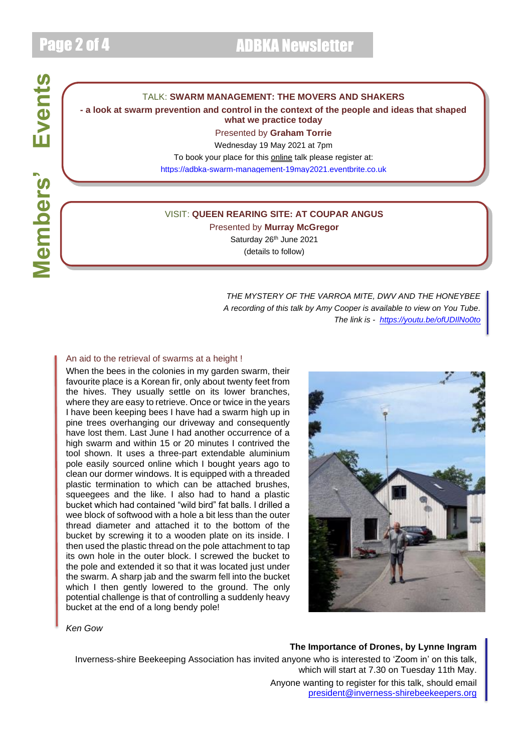# Members' Events **Members' Events**

### TALK: **SWARM MANAGEMENT: THE MOVERS AND SHAKERS**

### **- a look at swarm prevention and control in the context of the people and ideas that shaped what we practice today**

Presented by **Graham Torrie**

Wednesday 19 May 2021 at 7pm

To book your place for this online talk please register at:

[https://adbka-swarm-management-19may2021.eventbrite.co.uk](https://adbka-swarm-management-19may2021.eventbrite.co.uk/)

### VISIT: **QUEEN REARING SITE: AT COUPAR ANGUS**

Presented by **Murray McGregor** Saturday 26<sup>th</sup> June 2021 (details to follow)

> *THE MYSTERY OF THE VARROA MITE, DWV AND THE HONEYBEE A recording of this talk by Amy Cooper is available to view on You Tube. The link is - <https://youtu.be/ofUDIlNo0to>*

### An aid to the retrieval of swarms at a height !

When the bees in the colonies in my garden swarm, their favourite place is a Korean fir, only about twenty feet from the hives. They usually settle on its lower branches, where they are easy to retrieve. Once or twice in the years I have been keeping bees I have had a swarm high up in pine trees overhanging our driveway and consequently have lost them. Last June I had another occurrence of a high swarm and within 15 or 20 minutes I contrived the tool shown. It uses a three-part extendable aluminium pole easily sourced online which I bought years ago to clean our dormer windows. It is equipped with a threaded plastic termination to which can be attached brushes, squeegees and the like. I also had to hand a plastic bucket which had contained "wild bird" fat balls. I drilled a wee block of softwood with a hole a bit less than the outer thread diameter and attached it to the bottom of the bucket by screwing it to a wooden plate on its inside. I then used the plastic thread on the pole attachment to tap its own hole in the outer block. I screwed the bucket to the pole and extended it so that it was located just under the swarm. A sharp jab and the swarm fell into the bucket which I then gently lowered to the ground. The only potential challenge is that of controlling a suddenly heavy bucket at the end of a long bendy pole!



*Ken Gow*

### **The Importance of Drones, by Lynne Ingram**

Inverness-shire Beekeeping Association has invited anyone who is interested to 'Zoom in' on this talk, which will start at 7.30 on Tuesday 11th May. Anyone wanting to register for this talk, should email [president@inverness-shirebeekeepers.org](mailto:president@inverness-shirebeekeepers.org)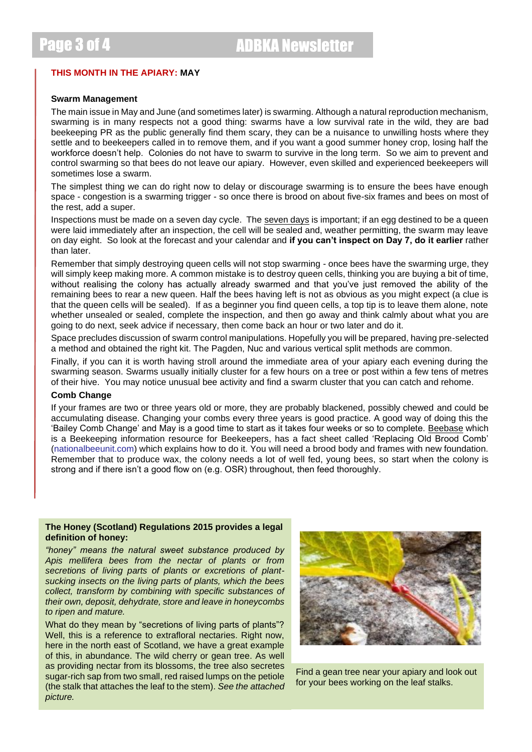Page 3 of 4 ADBKA Newsletter

### **THIS MONTH IN THE APIARY: MAY**

### **Swarm Management**

The main issue in May and June (and sometimes later) is swarming. Although a natural reproduction mechanism, swarming is in many respects not a good thing: swarms have a low survival rate in the wild, they are bad beekeeping PR as the public generally find them scary, they can be a nuisance to unwilling hosts where they settle and to beekeepers called in to remove them, and if you want a good summer honey crop, losing half the workforce doesn't help. Colonies do not have to swarm to survive in the long term. So we aim to prevent and control swarming so that bees do not leave our apiary. However, even skilled and experienced beekeepers will sometimes lose a swarm.

The simplest thing we can do right now to delay or discourage swarming is to ensure the bees have enough space - congestion is a swarming trigger - so once there is brood on about five-six frames and bees on most of the rest, add a super.

Inspections must be made on a seven day cycle. The seven days is important; if an egg destined to be a queen were laid immediately after an inspection, the cell will be sealed and, weather permitting, the swarm may leave on day eight. So look at the forecast and your calendar and **if you can't inspect on Day 7, do it earlier** rather than later.

Remember that simply destroying queen cells will not stop swarming - once bees have the swarming urge, they will simply keep making more. A common mistake is to destroy queen cells, thinking you are buying a bit of time, without realising the colony has actually already swarmed and that you've just removed the ability of the remaining bees to rear a new queen. Half the bees having left is not as obvious as you might expect (a clue is that the queen cells will be sealed). If as a beginner you find queen cells, a top tip is to leave them alone, note whether unsealed or sealed, complete the inspection, and then go away and think calmly about what you are going to do next, seek advice if necessary, then come back an hour or two later and do it.

Space precludes discussion of swarm control manipulations. Hopefully you will be prepared, having pre-selected a method and obtained the right kit. The Pagden, Nuc and various vertical split methods are common.

Finally, if you can it is worth having stroll around the immediate area of your apiary each evening during the swarming season. Swarms usually initially cluster for a few hours on a tree or post within a few tens of metres of their hive. You may notice unusual bee activity and find a swarm cluster that you can catch and rehome.

### **Comb Change**

If your frames are two or three years old or more, they are probably blackened, possibly chewed and could be accumulating disease. Changing your combs every three years is good practice. A good way of doing this the 'Bailey Comb Change' and May is a good time to start as it takes four weeks or so to complete. [Beebase](about:blank) which is a Beekeeping information resource for Beekeepers, has a fact sheet called 'Replacing Old Brood Comb' (nationalbeeunit.com) which explains how to do it. You will need a brood body and frames with new foundation. Remember that to produce wax, the colony needs a lot of well fed, young bees, so start when the colony is strong and if there isn't a good flow on (e.g. OSR) throughout, then feed thoroughly.

### **The Honey (Scotland) Regulations 2015 provides a legal definition of honey:**

*"honey" means the natural sweet substance produced by Apis mellifera bees from the nectar of plants or from secretions of living parts of plants or excretions of plantsucking insects on the living parts of plants, which the bees collect, transform by combining with specific substances of their own, deposit, dehydrate, store and leave in honeycombs to ripen and mature.*

What do they mean by "secretions of living parts of plants"? Well, this is a reference to extrafloral nectaries. Right now, here in the north east of Scotland, we have a great example of this, in abundance. The wild cherry or gean tree. As well as providing nectar from its blossoms, the tree also secretes sugar-rich sap from two small, red raised lumps on the petiole (the stalk that attaches the leaf to the stem). *See the attached picture.*



Find a gean tree near your apiary and look out for your bees working on the leaf stalks.